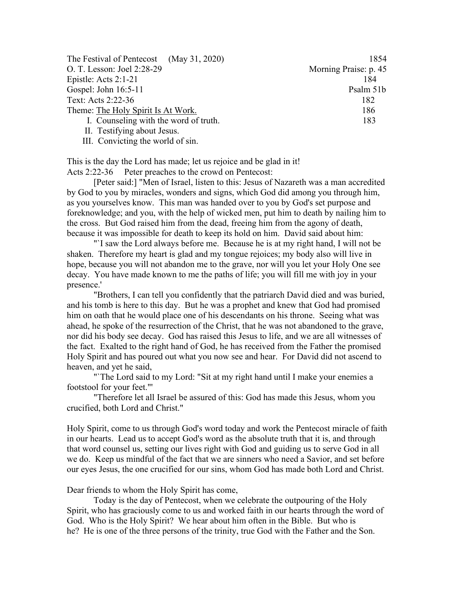| The Festival of Pentecost (May 31, 2020) | 1854                  |
|------------------------------------------|-----------------------|
| O. T. Lesson: Joel 2:28-29               | Morning Praise: p. 45 |
| Epistle: Acts $2:1-21$                   | 184                   |
| Gospel: John 16:5-11                     | Psalm 51b             |
| Text: Acts 2:22-36                       | 182                   |
| Theme: The Holy Spirit Is At Work.       | 186                   |
| I. Counseling with the word of truth.    | 183                   |
| II. Testifying about Jesus.              |                       |

III. Convicting the world of sin.

This is the day the Lord has made; let us rejoice and be glad in it! Acts 2:22-36 Peter preaches to the crowd on Pentecost:

[Peter said:] "Men of Israel, listen to this: Jesus of Nazareth was a man accredited by God to you by miracles, wonders and signs, which God did among you through him, as you yourselves know. This man was handed over to you by God's set purpose and foreknowledge; and you, with the help of wicked men, put him to death by nailing him to the cross. But God raised him from the dead, freeing him from the agony of death, because it was impossible for death to keep its hold on him. David said about him:

"`I saw the Lord always before me. Because he is at my right hand, I will not be shaken. Therefore my heart is glad and my tongue rejoices; my body also will live in hope, because you will not abandon me to the grave, nor will you let your Holy One see decay. You have made known to me the paths of life; you will fill me with joy in your presence.'

"Brothers, I can tell you confidently that the patriarch David died and was buried, and his tomb is here to this day. But he was a prophet and knew that God had promised him on oath that he would place one of his descendants on his throne. Seeing what was ahead, he spoke of the resurrection of the Christ, that he was not abandoned to the grave, nor did his body see decay. God has raised this Jesus to life, and we are all witnesses of the fact. Exalted to the right hand of God, he has received from the Father the promised Holy Spirit and has poured out what you now see and hear. For David did not ascend to heaven, and yet he said,

"'The Lord said to my Lord: "Sit at my right hand until I make your enemies a footstool for your feet."'

"Therefore let all Israel be assured of this: God has made this Jesus, whom you crucified, both Lord and Christ."

Holy Spirit, come to us through God's word today and work the Pentecost miracle of faith in our hearts. Lead us to accept God's word as the absolute truth that it is, and through that word counsel us, setting our lives right with God and guiding us to serve God in all we do. Keep us mindful of the fact that we are sinners who need a Savior, and set before our eyes Jesus, the one crucified for our sins, whom God has made both Lord and Christ.

Dear friends to whom the Holy Spirit has come,

Today is the day of Pentecost, when we celebrate the outpouring of the Holy Spirit, who has graciously come to us and worked faith in our hearts through the word of God. Who is the Holy Spirit? We hear about him often in the Bible. But who is he? He is one of the three persons of the trinity, true God with the Father and the Son.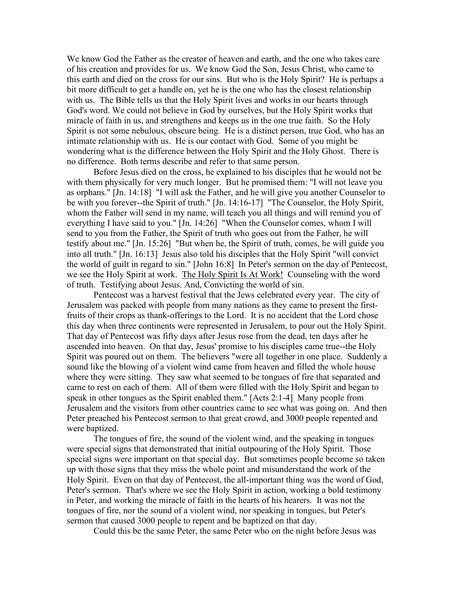We know God the Father as the creator of heaven and earth, and the one who takes care of his creation and provides for us. We know God the Son, Jesus Christ, who came to this earth and died on the cross for our sins. But who is the Holy Spirit? He is perhaps a bit more difficult to get a handle on, yet he is the one who has the closest relationship with us. The Bible tells us that the Holy Spirit lives and works in our hearts through God's word. We could not believe in God by ourselves, but the Holy Spirit works that miracle of faith in us, and strengthens and keeps us in the one true faith. So the Holy Spirit is not some nebulous, obscure being. He is a distinct person, true God, who has an intimate relationship with us. He is our contact with God. Some of you might be wondering what is the difference between the Holy Spirit and the Holy Ghost. There is no difference. Both terms describe and refer to that same person.

Before Jesus died on the cross, he explained to his disciples that he would not be with them physically for very much longer. But he promised them: "I will not leave you as orphans." [Jn. 14:18] "I will ask the Father, and he will give you another Counselor to be with you forever--the Spirit of truth." [Jn. 14:16-17] "The Counselor, the Holy Spirit, whom the Father will send in my name, will teach you all things and will remind you of everything I have said to you." [Jn. 14:26] "When the Counselor comes, whom I will send to you from the Father, the Spirit of truth who goes out from the Father, he will testify about me." [Jn. 15:26] "But when he, the Spirit of truth, comes, he will guide you into all truth." [Jn. 16:13] Jesus also told his disciples that the Holy Spirit "will convict the world of guilt in regard to sin." [John 16:8] In Peter's sermon on the day of Pentecost, we see the Holy Spirit at work. The Holy Spirit Is At Work! Counseling with the word of truth. Testifying about Jesus. And, Convicting the world of sin.

Pentecost was a harvest festival that the Jews celebrated every year. The city of Jerusalem was packed with people from many nations as they came to present the firstfruits of their crops as thank-offerings to the Lord. It is no accident that the Lord chose this day when three continents were represented in Jerusalem, to pour out the Holy Spirit. That day of Pentecost was fifty days after Jesus rose from the dead, ten days after he ascended into heaven. On that day, Jesus' promise to his disciples came true--the Holy Spirit was poured out on them. The believers "were all together in one place. Suddenly a sound like the blowing of a violent wind came from heaven and filled the whole house where they were sitting. They saw what seemed to be tongues of fire that separated and came to rest on each of them. All of them were filled with the Holy Spirit and began to speak in other tongues as the Spirit enabled them." [Acts 2:1-4] Many people from Jerusalem and the visitors from other countries came to see what was going on. And then Peter preached his Pentecost sermon to that great crowd, and 3000 people repented and were baptized.

The tongues of fire, the sound of the violent wind, and the speaking in tongues were special signs that demonstrated that initial outpouring of the Holy Spirit. Those special signs were important on that special day. But sometimes people become so taken up with those signs that they miss the whole point and misunderstand the work of the Holy Spirit. Even on that day of Pentecost, the all-important thing was the word of God, Peter's sermon. That's where we see the Holy Spirit in action, working a bold testimony in Peter, and working the miracle of faith in the hearts of his hearers. It was not the tongues of fire, nor the sound of a violent wind, nor speaking in tongues, but Peter's sermon that caused 3000 people to repent and be baptized on that day.

Could this be the same Peter, the same Peter who on the night before Jesus was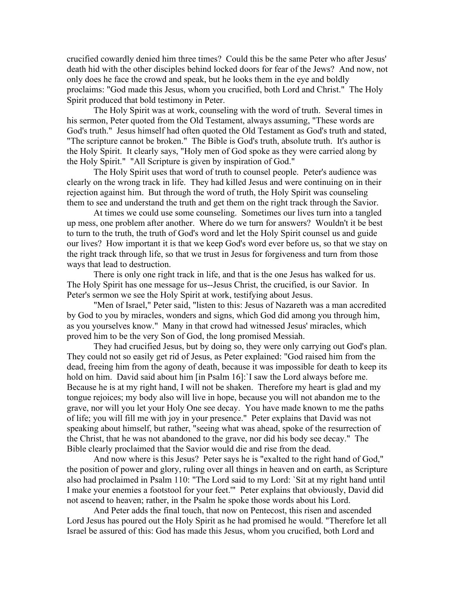crucified cowardly denied him three times? Could this be the same Peter who after Jesus' death hid with the other disciples behind locked doors for fear of the Jews? And now, not only does he face the crowd and speak, but he looks them in the eye and boldly proclaims: "God made this Jesus, whom you crucified, both Lord and Christ." The Holy Spirit produced that bold testimony in Peter.

The Holy Spirit was at work, counseling with the word of truth. Several times in his sermon, Peter quoted from the Old Testament, always assuming, "These words are God's truth." Jesus himself had often quoted the Old Testament as God's truth and stated, "The scripture cannot be broken." The Bible is God's truth, absolute truth. It's author is the Holy Spirit. It clearly says, "Holy men of God spoke as they were carried along by the Holy Spirit." "All Scripture is given by inspiration of God."

The Holy Spirit uses that word of truth to counsel people. Peter's audience was clearly on the wrong track in life. They had killed Jesus and were continuing on in their rejection against him. But through the word of truth, the Holy Spirit was counseling them to see and understand the truth and get them on the right track through the Savior.

At times we could use some counseling. Sometimes our lives turn into a tangled up mess, one problem after another. Where do we turn for answers? Wouldn't it be best to turn to the truth, the truth of God's word and let the Holy Spirit counsel us and guide our lives? How important it is that we keep God's word ever before us, so that we stay on the right track through life, so that we trust in Jesus for forgiveness and turn from those ways that lead to destruction.

There is only one right track in life, and that is the one Jesus has walked for us. The Holy Spirit has one message for us--Jesus Christ, the crucified, is our Savior. In Peter's sermon we see the Holy Spirit at work, testifying about Jesus.

"Men of Israel," Peter said, "listen to this: Jesus of Nazareth was a man accredited by God to you by miracles, wonders and signs, which God did among you through him, as you yourselves know." Many in that crowd had witnessed Jesus' miracles, which proved him to be the very Son of God, the long promised Messiah.

They had crucified Jesus, but by doing so, they were only carrying out God's plan. They could not so easily get rid of Jesus, as Peter explained: "God raised him from the dead, freeing him from the agony of death, because it was impossible for death to keep its hold on him. David said about him [in Psalm 16]:`I saw the Lord always before me. Because he is at my right hand, I will not be shaken. Therefore my heart is glad and my tongue rejoices; my body also will live in hope, because you will not abandon me to the grave, nor will you let your Holy One see decay. You have made known to me the paths of life; you will fill me with joy in your presence." Peter explains that David was not speaking about himself, but rather, "seeing what was ahead, spoke of the resurrection of the Christ, that he was not abandoned to the grave, nor did his body see decay." The Bible clearly proclaimed that the Savior would die and rise from the dead.

And now where is this Jesus? Peter says he is "exalted to the right hand of God," the position of power and glory, ruling over all things in heaven and on earth, as Scripture also had proclaimed in Psalm 110: "The Lord said to my Lord: `Sit at my right hand until I make your enemies a footstool for your feet.'" Peter explains that obviously, David did not ascend to heaven; rather, in the Psalm he spoke those words about his Lord.

And Peter adds the final touch, that now on Pentecost, this risen and ascended Lord Jesus has poured out the Holy Spirit as he had promised he would. "Therefore let all Israel be assured of this: God has made this Jesus, whom you crucified, both Lord and